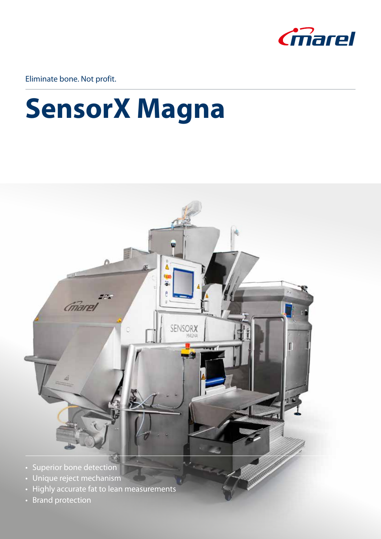

Eliminate bone. Not profit.

### **SensorX Magna**



- Superior bone detection
- Unique reject mechanism
- Highly accurate fat to lean measurements
- Brand protection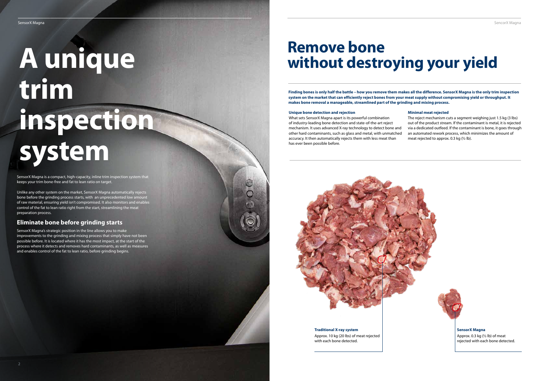### **Unique bone detection and rejection**

The reject mechanism cuts a segment weighing just 1.5 kg (3 lbs) out of the product stream. If the contaminant is metal, it is rejected via a dedicated outfeed. If the contaminant is bone, it goes through an automated rework process, which minimizes the amount of meat rejected to approx. 0.3 kg  $(\frac{1}{2} \text{ lb})$ .

What sets SensorX Magna apart is its powerful combination of industry-leading bone detection and state-of-the-art reject mechanism. It uses advanced X-ray technology to detect bone and other hard contaminants, such as glass and metal, with unmatched accuracy. It then automatically rejects them with less meat than has ever been possible before.



#### **Minimal meat rejected**

# **trim inspection system**

SensorX Magna is a compact, high-capacity, inline trim inspection system that keeps your trim bone-free and fat to lean ratio on target.

Unlike any other system on the market, SensorX Magna automatically rejects bone before the grinding process starts, with an unprecedented low amount of raw material, ensuring yield isn't compromised. It also monitors and enables control of the fat to lean ratio right from the start, streamlining the meat preparation process.

### **Eliminate bone before grinding starts**

SensorX Magna's strategic position in the line allows you to make improvements to the grinding and mixing process that simply have not been possible before. It is located where it has the most impact, at the start of the process where it detects and removes hard contaminants, as well as measures and enables control of the fat to lean ratio, before grinding begins.

# **A unique without destroying your yield**

**Traditional X-ray system** Approx. 10 kg (20 lbs) of meat rejected with each bone detected.

**SensorX Magna** Approx. 0.3 kg (½ lb) of meat

rejected with each bone detected.

**Finding bones is only half the battle – how you remove them makes all the difference. SensorX Magna is the only trim inspection system on the market that can efficiently reject bones from your meat supply without compromising yield or throughput. It makes bone removal a manageable, streamlined part of the grinding and mixing process.**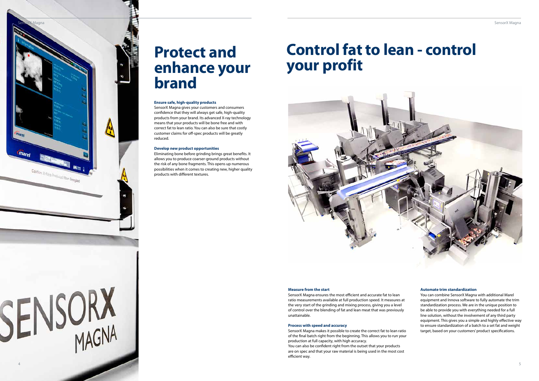### **Protect and enhance your brand**

### **Ensure safe, high-quality products**

SensorX Magna gives your customers and consumers confidence that they will always get safe, high-quality products from your brand. Its advanced X-ray technology means that your products will be bone free and with correct fat to lean ratio. You can also be sure that costly customer claims for off-spec products will be greatly reduced.

#### **Develop new product opportunities**

Eliminating bone before grinding brings great benefits. It allows you to produce coarser-ground products without the risk of any bone fragments. This opens up numerous possibilities when it comes to creating new, higher quality products with different textures.

### **Control fat to lean - control your profit**



#### **Automate trim standardization**

You can combine SensorX Magna with additional Marel equipment and Innova software to fully automate the trim standardization process. We are in the unique position to be able to provide you with everything needed for a full line solution, without the involvement of any third party equipment. This gives you a simple and highly effective way to ensure standardization of a batch to a set fat and weight target, based on your customers' product specifications.



### **Measure from the start**

SensorX Magna ensures the most efficient and accurate fat to lean ratio measurements available at full production speed. It measures at the very start of the grinding and mixing process, giving you a level of control over the blending of fat and lean meat that was previously unattainable.

### **Process with speed and accuracy**

SensorX Magna makes it possible to create the correct fat to lean ratio of the final batch right from the beginning. This allows you to run your production at full capacity, with high accuracy. You can also be confident right from the outset that your products are on spec and that your raw material is being used in the most cost efficient way.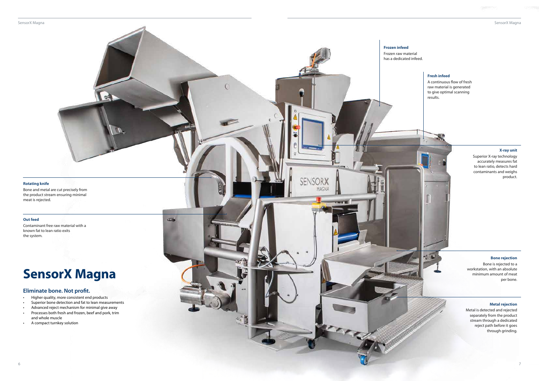SensorX Magna

### **Frozen infeed**

 $\overline{C}$ 

**COL** 

**SENSORX** 

MAGNA

Frozen raw material has a dedicated infeed.

### **X-ray unit**

Superior X-ray technology accurately measures fat to lean ratio, detects hard contaminants and weighs product.

Metal is detected and rejected separately from the product stream through a dedicated reject path before it goes .<br>through grinding.

### **Bone rejection**

Bone is rejected to a workstation, with an absolute minimum amount of meat per bone.

### **Metal rejection**

### **Rotating knife**

Bone and metal are cut precisely from the product stream ensuring minimal meat is rejected.

e.

#### **Out feed**

Contaminant free raw material with a known fat to lean ratio exits the system.

### **Fresh infeed**

A continuous flow of fresh raw material is generated to give optimal scanning results.

### **SensorX Magna**

### **Eliminate bone. Not profit.**

- Higher quality, more consistent end products
- Superior bone detection and fat to lean measurements
- Advanced reject mechanism for minimal give away
- Processes both fresh and frozen, beef and pork, trim and whole muscle
- A compact turnkey solution

SensorX Magna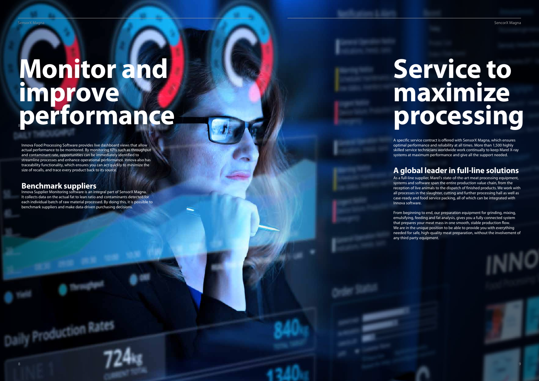Innova Food Processing Software provides live dashboard views that allow actual performance to be monitored. By monitoring KPIs such as throughput and contaminant rate, opportunities can be immediately identified to streamline processes and enhance operational performance. Innova also has traceability functionality, which ensures you can act quickly to minimize the size of recalls, and trace every product back to its source.

### <sup>9</sup> <sup>8</sup> **Monitor and improve performance**

### **Benchmark suppliers**

Innova Supplier Monitoring software is an integral part of SensorX Magna. It collects data on the actual fat to lean ratio and contaminants detected for each individual batch of raw material processed. By doing this, it is possible to benchmark suppliers and make data-driven purchasing decisions.

# **Service to maximize processing**

A specific service contract is offered with SensorX Magna, which ensures optimal performance and reliability at all times. More than 1,500 highly skilled service technicians worldwide work continually to keep Marel X-ray systems at maximum performance and give all the support needed.

### **A global leader in full-line solutions**

As a full-line supplier, Marel's state-of-the-art meat processing equipment, systems and software span the entire production value chain, from the reception of live animals to the dispatch of finished products. We work with all processes in the slaughter, cutting and further processing hall as well as case-ready and food service packing, all of which can be integrated with Innova software.

Daily Production Rates

From beginning to end, our preparation equipment for grinding, mixing, emulsifying, feeding and fat analysis, gives you a fully connected system that prepares your meat mass in one smooth, stable production flow. We are in the unique position to be able to provide you with everything needed for safe, high-quality meat preparation, without the involvement of any third party equipment.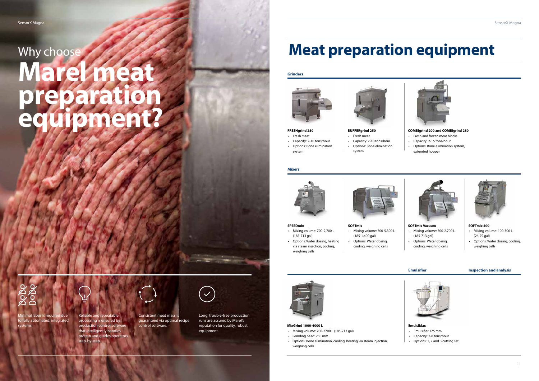

**FRESHgrind 250** • Fresh meat



- 
- Capacity: 2-10 tons/hour • Options: Bone elimination
- system

#### **SPEEDmix**

- Mixing volume: 700-2,700 L (185-713 gal)
- Options: Water dosing, heating via steam injection, cooling, weighing cells



### **BUFFERgrind 250**  • Fresh meat

• Capacity: 2-10 tons/hour • Options: Bone elimination

system

### **SOFTmix**

- Mixing volume: 700-5,300 L (185-1,400 gal)
- Options: Water dosing, cooling, weighing cells

## $\sum C$

### **COMBIgrind 200 and COMBIgrind 280**

## Why choose **Marel meat preparation equipment?**

- Fresh and frozen meat blocks
- Capacity: 2-15 tons/hour
- Options: Bone elimination system, extended hopper



### **SOFTmix Vacuum**

- Mixing volume: 700-2,700 L (185-713 gal)
- Options: Water dosing, cooling, weighing cells



### **SOFTmix 400**

- Mixing volume: 100-300 L (26-79 gal)
- Options: Water dosing, cooling, weighing cells

### **Emulsifier Inspection and analysis**



Long, trouble-free production runs are assured by Marel's control software. **EmulsiMax EmulsiMax EmulsiMax EmulsiMax EmulsiMax EmulsiMax** equipment.



### **Meat preparation equipment**

### **Grinders**





#### **Mixers**

- **MixGrind 1000-4000 L**
- Mixing volume: 700-2700 L (185-713 gal)
- Grinding head: 250 mm
- Options: Bone elimination, cooling, heating via steam injection, weighing cells

Minimal labor is required due to fully automated, integrated systems.



Reliable and repeatable processing is ensured by production control software that intelligently handles protein and guides operators step-by-step.



Consistent meat mass is guaranteed via optimal recipe

- Emulsifier 175 mm
- Capacity: 2-8 tons/hour
- Options: 1, 2 and 3 cutting set